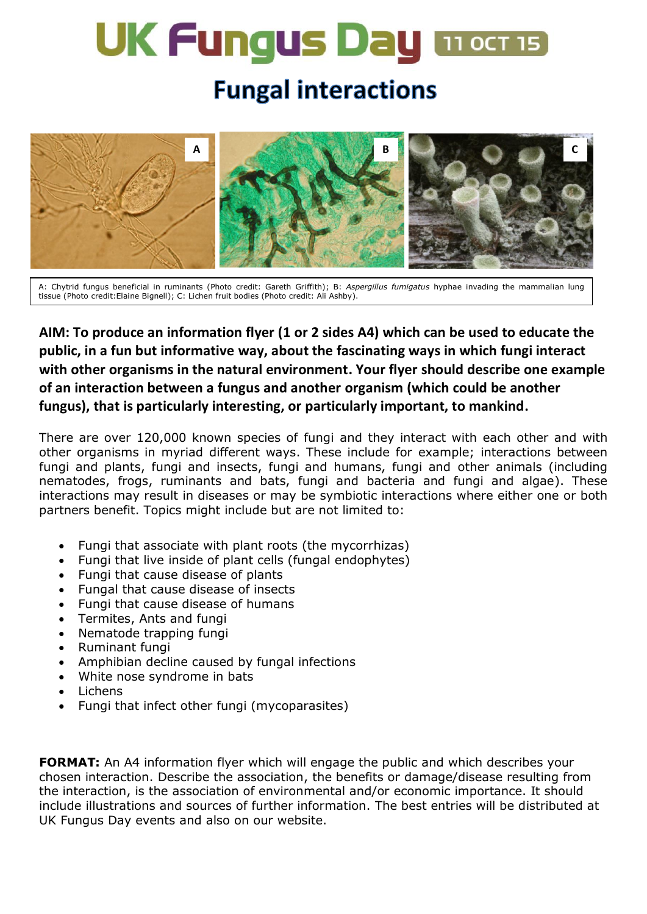# **UK Fungus Day mocris**

## **Fungal interactions**



A: Chytrid fungus beneficial in ruminants (Photo credit: Gareth Griffith); B: *Asp*<br>tissue (Photo credit:Elaine Bignell); C: Lichen fruit bodies (Photo credit: Ali Ashby). **e n n** A: Chytrid fungus beneficial in ruminants (Photo credit: Gareth Griffith); B: *Aspergillus fumigatus* hyphae invading the mammalian lung **e e**

#### **AIM: To produce an information flyer (1 or 2 sides A4) which can be used to educate the c c c public, in a fun but informative way, about the fascinating ways in which fungi interact i i i with other organisms in the natural environment. Your flyer should describe one example a of an interaction between a fungus and another organism (which could be another i i** fungus), that is particularly interesting, or particularly important, to mankind. **l a l a l**

There are over 120,000 known species of fungi and they interact with each other and with other organisms in myriad different ways. These include for example; interactions between **m m m** fungi and plants, fungi and insects, fungi and humans, fungi and other animals (including nematodes, frogs, ruminants and bats, fungi and bacteria and fungi and algae). These **n n n** interactions may result in diseases or may be symbiotic interactions where either one or both **a a a** partners benefit. Topics might include but are not limited to: **n n**

- Fungi that associate with plant roots (the mycorrhizas) **s s N**
- Fungi that live inside of plant cells (fungal endophytes) **. . N**
- Fungi that cause disease of plants **f**
- Fungal that cause disease of insects
- Tungal that cause disease of liftsects<br>• Fungi that cause disease of humans
- **Trangit and cause disease**<br>**•** Termites, Ants and fungi **n**
- **•** Nematode trapping fungi
- Ruminant fungi
- Amphibian decline caused by fungal infections **a**
- White nose syndrome in bats **s li**
- Lichens
- **•** Elchens<br>• Fungi that infect other fungi (mycoparasites) **G**

**FORMAT:** An A4 information flyer which will engage the public and which describes your chosen interaction. Describe the association, the benefits or damage/disease resulting from **t t t** anced in the action. If you had the association, the schools of damage, alsease resulting non-<br>the interaction, is the association of environmental and/or economic importance. It should include illustrations and sources of further information. The best entries will be distributed at UK Fungus Day events and also on our website. **ri ff ri** ...<br>مد **ri**